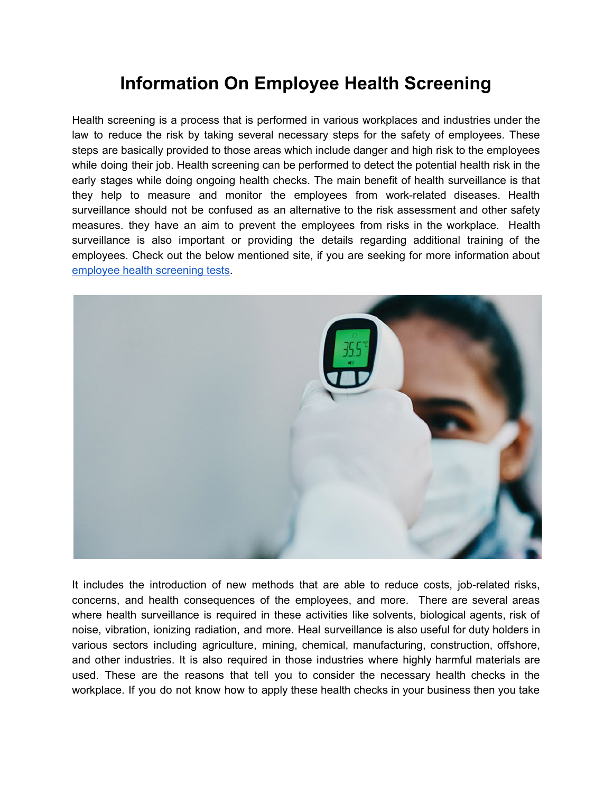## **Information On Employee Health Screening**

Health screening is a process that is performed in various workplaces and industries under the law to reduce the risk by taking several necessary steps for the safety of employees. These steps are basically provided to those areas which include danger and high risk to the employees while doing their job. Health screening can be performed to detect the potential health risk in the early stages while doing ongoing health checks. The main benefit of health surveillance is that they help to measure and monitor the employees from work-related diseases. Health surveillance should not be confused as an alternative to the risk assessment and other safety measures. they have an aim to prevent the employees from risks in the workplace. Health surveillance is also important or providing the details regarding additional training of the employees. Check out the below mentioned site, if you are seeking for more information about employee health [screening](https://www.staywelloh.co.uk/services/wellness-medicals/health-screening/) tests.



It includes the introduction of new methods that are able to reduce costs, job-related risks, concerns, and health consequences of the employees, and more. There are several areas where health surveillance is required in these activities like solvents, biological agents, risk of noise, vibration, ionizing radiation, and more. Heal surveillance is also useful for duty holders in various sectors including agriculture, mining, chemical, manufacturing, construction, offshore, and other industries. It is also required in those industries where highly harmful materials are used. These are the reasons that tell you to consider the necessary health checks in the workplace. If you do not know how to apply these health checks in your business then you take